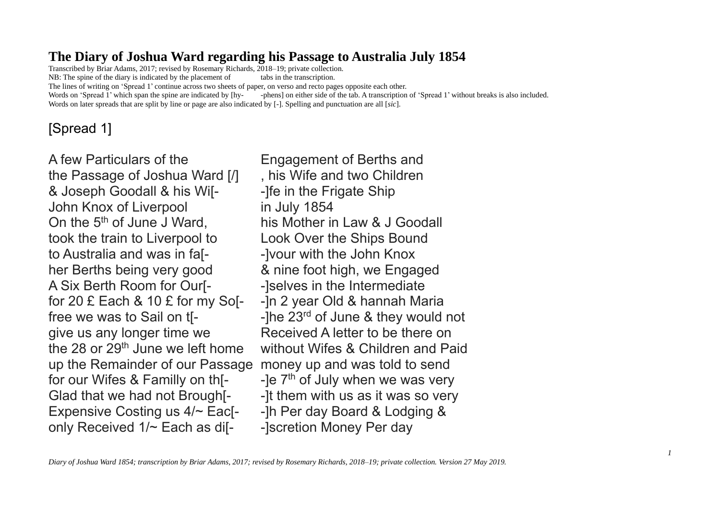## **The Diary of Joshua Ward regarding his Passage to Australia July 1854**

Transcribed by Briar Adams, 2017; revised by Rosemary Richards, 2018–19; private collection. NB: The spine of the diary is indicated by the placement of tabs in the transcription. The lines of writing on 'Spread 1' continue across two sheets of paper, on verso and recto pages opposite each other. Words on 'Spread 1' which span the spine are indicated by [hy-<br>phens] on either side of the tab. A transcription of 'Spread 1' without breaks is also included. Words on later spreads that are split by line or page are also indicated by [-]. Spelling and punctuation are all [*sic*].

# [Spread 1]

A few Particulars of the Engagement of Berths and the Passage of Joshua Ward [/] , his Wife and two Children & Joseph Goodall & his Wis-<br>-1 The in the Frigate Ship John Knox of Liverpool in July 1854 On the  $5<sup>th</sup>$  of June J Ward, his Mother in Law & J Goodall took the train to Liverpool to Look Over the Ships Bound to Australia and was in fa<sup>[-</sup> --]vour with the John Knox her Berths being very good & nine foot high, we Engaged A Six Berth Room for Our<sup>[-</sup> --]selves in the Intermediate for 20 £ Each & 10 £ for my So[- -]n 2 year Old & hannah Maria give us any longer time we Received A letter to be there on up the Remainder of our Passage money up and was told to send for our Wifes & Familly on th[ $-$  -]e  $7<sup>th</sup>$  of July when we was very Glad that we had not Brough<sup>[-</sup> --]t them with us as it was so very Expensive Costing us  $4/-$  Eac[- -]h Per day Board & Lodging & only Received 1/~ Each as dif-<br>
-Iscretion Money Per day

free we was to Sail on  $t$ [-  $\qquad \qquad$  -]he 23<sup>rd</sup> of June & they would not the 28 or 29th June we left home without Wifes & Children and Paid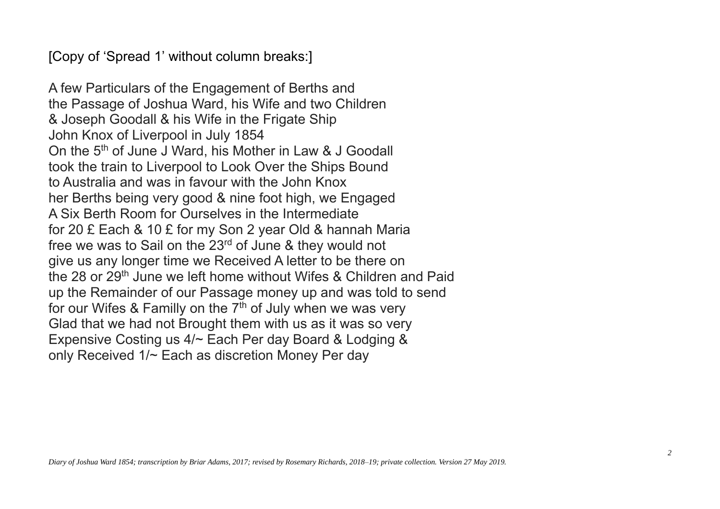[Copy of 'Spread 1' without column breaks:]

A few Particulars of the Engagement of Berths and the Passage of Joshua Ward, his Wife and two Children & Joseph Goodall & his Wife in the Frigate Ship John Knox of Liverpool in July 1854 On the 5<sup>th</sup> of June J Ward, his Mother in Law & J Goodall took the train to Liverpool to Look Over the Ships Bound to Australia and was in favour with the John Knox her Berths being very good & nine foot high, we Engaged A Six Berth Room for Ourselves in the Intermediate for 20 £ Each & 10 £ for my Son 2 year Old & hannah Maria free we was to Sail on the 23rd of June & they would not give us any longer time we Received A letter to be there on the 28 or 29th June we left home without Wifes & Children and Paid up the Remainder of our Passage money up and was told to send for our Wifes & Familly on the 7<sup>th</sup> of July when we was very Glad that we had not Brought them with us as it was so very Expensive Costing us 4/~ Each Per day Board & Lodging & only Received 1/~ Each as discretion Money Per day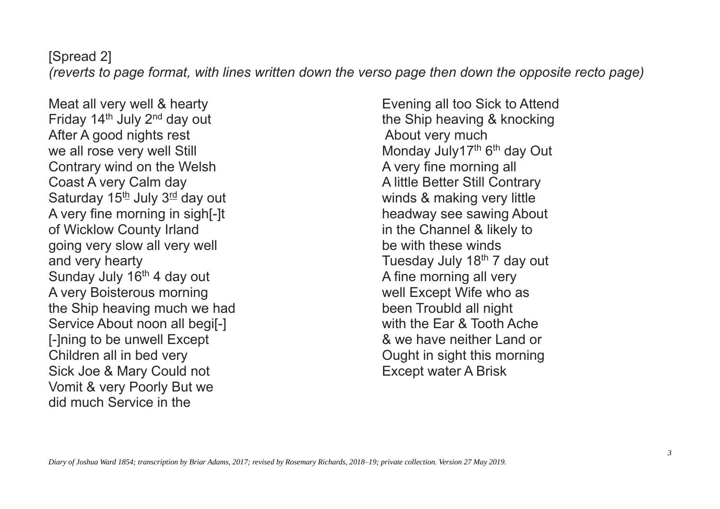# [Spread 2]

*(reverts to page format, with lines written down the verso page then down the opposite recto page)*

Meat all very well & hearty **Evening all too Sick to Attend** Friday 14<sup>th</sup> July 2<sup>nd</sup> day out the Ship heaving & knocking After A good nights rest About very much we all rose very well Still Contrary wind on the Welsh Contrary wind on the Welsh A very fine morning all Coast A very Calm day **A little Better Still Contrary** Saturday 15<sup>th</sup> July 3<sup>rd</sup> day out winds & making very little A very fine morning in sigh[-]t headway see sawing About of Wicklow County Irland in the Channel & likely to going very slow all very well example the with these winds and very hearty **Tuesday July 18<sup>th</sup> 7 day out** Sunday July 16<sup>th</sup> 4 day out A fine morning all very A very Boisterous morning and the well Except Wife who as the Ship heaving much we had been Troubld all night Service About noon all begi<sup>[-]</sup> Service About noon all begi<sup>[-]</sup> [-]ning to be unwell Except  $\sim$  8 we have neither Land or Children all in bed very example of the Children all in bed very served on the Children of Children and Children Sick Joe & Mary Could not **Except water A Brisk** Vomit & very Poorly But we did much Service in the

Monday July17<sup>th</sup> 6<sup>th</sup> day Out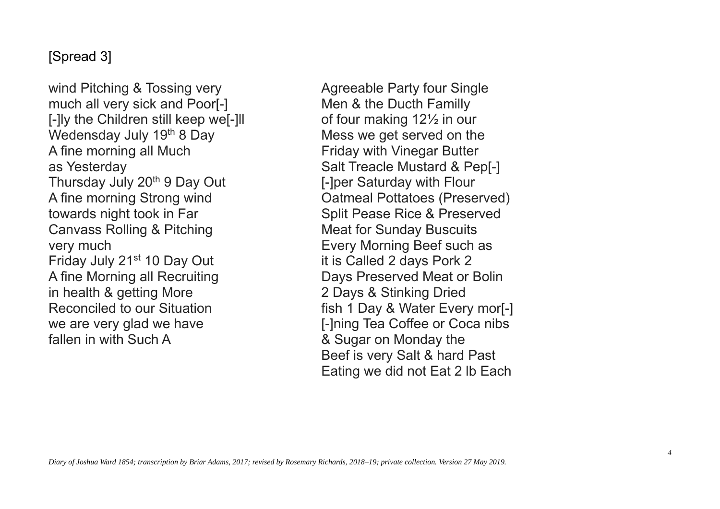# [Spread 3]

wind Pitching & Tossing very **Agreeable Party four Single** much all very sick and Poor[-] Men & the Ducth Familly  $\lceil$ -lly the Children still keep we $\lceil$ -lll of four making 12 $\frac{1}{2}$  in our Wedensday July  $19<sup>th</sup>$  8 Day Mess we get served on the A fine morning all Much Friday with Vinegar Butter as Yesterday **Salt Treacle Mustard & Pep[-]** Thursday July 20<sup>th</sup> 9 Day Out [-]per Saturday with Flour towards night took in Far Split Pease Rice & Preserved Canvass Rolling & Pitching Meat for Sunday Buscuits very much **Every Morning Beef such as** Friday July 21<sup>st</sup> 10 Day Out it is Called 2 days Pork 2 A fine Morning all Recruiting **Days Preserved Meat or Bolin** in health & getting More 2 Days & Stinking Dried we are very glad we have **[-]ning Tea Coffee or Coca nibs** fallen in with Such A  $\&$  Sugar on Monday the

A fine morning Strong wind Oatmeal Pottatoes (Preserved) Reconciled to our Situation **Figure 1 Conciled to our Situation** fish 1 Day & Water Every mor Beef is very Salt & hard Past Eating we did not Eat 2 lb Each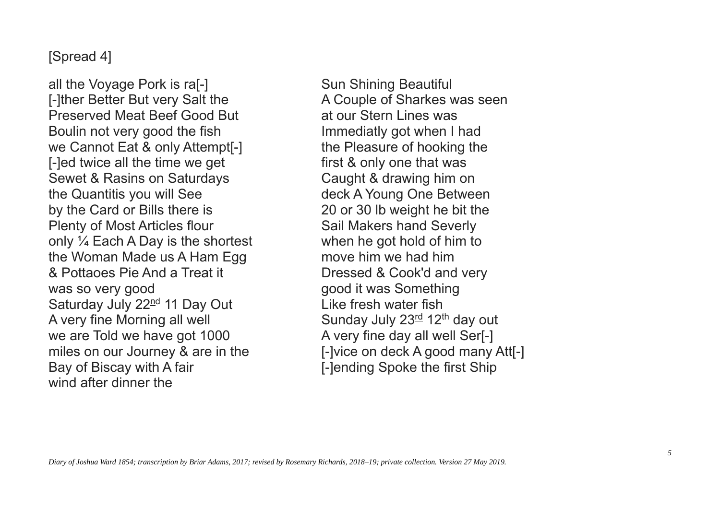## [Spread 4]

all the Voyage Pork is ra<sup>[-]</sup> Sun Shining Beautiful [-]ther Better But very Salt the A Couple of Sharkes was seen Preserved Meat Beef Good But at our Stern Lines was Boulin not very good the fish Immediatly got when I had we Cannot Eat & only Attempt<sup>[-]</sup> the Pleasure of hooking the [-]ed twice all the time we get first & only one that was Sewet & Rasins on Saturdays Caught & drawing him on the Quantitis you will See deck A Young One Between by the Card or Bills there is 20 or 30 lb weight he bit the Plenty of Most Articles flour Sail Makers hand Severly only  $\frac{1}{4}$  Each A Day is the shortest when he got hold of him to the Woman Made us A Ham Egg move him we had him & Pottaoes Pie And a Treat it Dressed & Cook'd and very was so very good good it was Something Saturday July 22<sup>nd</sup> 11 Day Out Like fresh water fish A very fine Morning all well  $\sim$  Sunday July 23<sup>rd</sup> 12<sup>th</sup> day out we are Told we have got 1000 A very fine day all well Ser[-] miles on our Journey & are in the **[-**]vice on deck A good many Att[-] Bay of Biscay with A fair **Example 20** [-]ending Spoke the first Ship wind after dinner the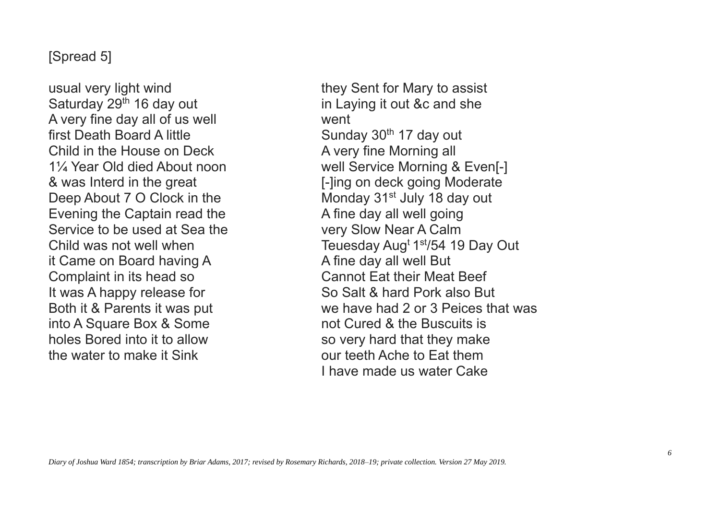### [Spread 5]

usual very light wind they Sent for Mary to assist Saturday 29<sup>th</sup> 16 day out in Laying it out &c and she A very fine day all of us well went first Death Board A little Sunday 30<sup>th</sup> 17 day out Child in the House on Deck A very fine Morning all Deep About 7 O Clock in the Monday 31<sup>st</sup> July 18 day out Evening the Captain read the A fine day all well going Service to be used at Sea the very Slow Near A Calm Child was not well when it Came on Board having A A Time day all well But Complaint in its head so Cannot Eat their Meat Beef It was A happy release for So Salt & hard Pork also But into A Square Box & Some not Cured & the Buscuits is holes Bored into it to allow so very hard that they make the water to make it Sink the state our teeth Ache to Eat them

1¼ Year Old died About noon well Service Morning & Even[-] & was Interd in the great **Example 2** [-]ing on deck going Moderate Teuesday Aug<sup>t  $1<sup>st</sup>/54$  19 Day Out</sup> Both it & Parents it was put we have had 2 or 3 Peices that was I have made us water Cake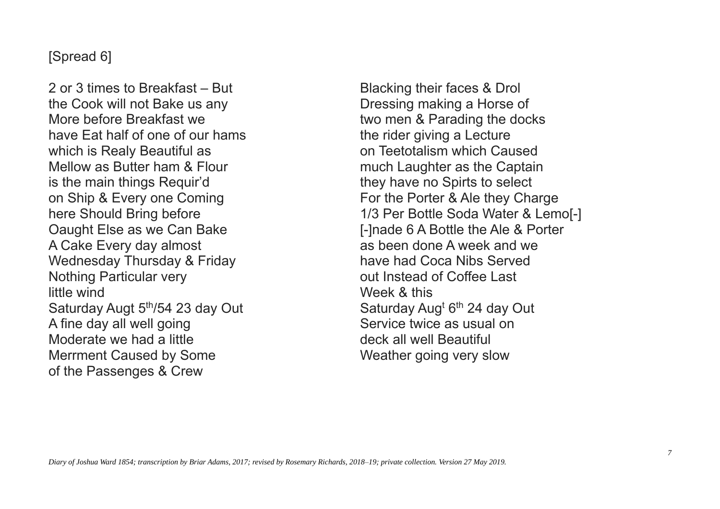## [Spread 6]

2 or 3 times to Breakfast – But the Cook will not Bake us any More before Breakfast we have Eat half of one of our hams which is Realy Beautiful as Mellow as Butter ham & Flour is the main things Requir'd on Ship & Every one Coming here Should Bring before Oaught Else as we Can Bake A Cake Every day almost Wednesday Thursday & Friday Nothing Particular very little wind Saturday Augt 5<sup>th</sup>/54 23 day Out A fine day all well going Moderate we had a little Merrment Caused by Some of the Passenges & Crew

Blacking their faces & Drol Dressing making a Horse of two men & Parading the docks the rider giving a Lecture on Teetotalism which Caused much Laughter as the Captain they have no Spirts to select For the Porter & Ale they Charge 1/3 Per Bottle Soda Water & Lemo[-] [-]nade 6 A Bottle the Ale & Porter as been done A week and we have had Coca Nibs Served out Instead of Coffee Last Week & this Saturday Aug<sup>t</sup> 6<sup>th</sup> 24 day Out Service twice as usual on deck all well Beautiful Weather going very slow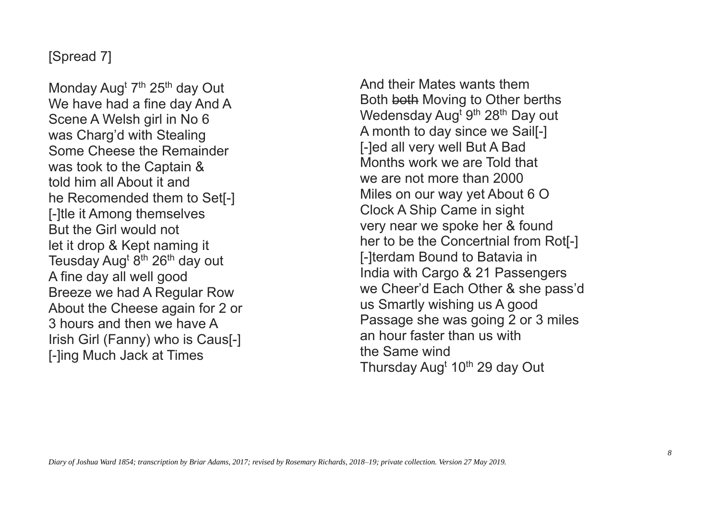# [Spread 7]

Monday Aug<sup>t</sup> 7<sup>th</sup> 25<sup>th</sup> day Out We have had a fine day And A Scene A Welsh girl in No 6 was Charg'd with Stealing Some Cheese the Remainder was took to the Captain & told him all About it and he Recomended them to Set[-] [-]tle it Among themselves But the Girl would not let it drop & Kept naming it Teusday Aug<sup>t</sup> 8<sup>th</sup> 26<sup>th</sup> day out A fine day all well good Breeze we had A Regular Row About the Cheese again for 2 or 3 hours and then we have A Irish Girl (Fanny) who is Caus[-] [-]ing Much Jack at Times

And their Mates wants them Both both Moving to Other berths Wedensday Aug<sup>t gth</sup> 28<sup>th</sup> Day out A month to day since we Sail[-] [-]ed all very well But A Bad Months work we are Told that we are not more than 2000 Miles on our way yet About 6 O Clock A Ship Came in sight very near we spoke her & found her to be the Concertnial from Rot[-] [-]terdam Bound to Batavia in India with Cargo & 21 Passengers we Cheer'd Each Other & she pass'd us Smartly wishing us A good Passage she was going 2 or 3 miles an hour faster than us with the Same wind Thursday Aug<sup>t</sup> 10<sup>th</sup> 29 day Out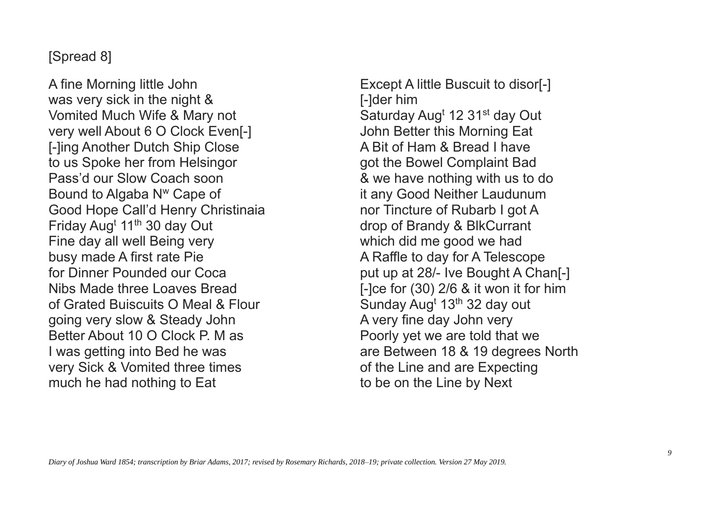# [Spread 8]

A fine Morning little John was very sick in the night & Vomited Much Wife & Mary not very well About 6 O Clock Even[-] [-]ing Another Dutch Ship Close to us Spoke her from Helsingor Pass'd our Slow Coach soon Bound to Algaba N<sup>w</sup> Cape of Good Hope Call'd Henry Christinaia Friday Aug<sup>t</sup> 11<sup>th</sup> 30 day Out Fine day all well Being very busy made A first rate Pie for Dinner Pounded our Coca Nibs Made three Loaves Bread of Grated Buiscuits O Meal & Flour going very slow & Steady John Better About 10 O Clock P. M as I was getting into Bed he was very Sick & Vomited three times much he had nothing to Eat

Except A little Buscuit to disor[-] [-]der him Saturday Aug<sup>t</sup> 12 31<sup>st</sup> day Out John Better this Morning Eat A Bit of Ham & Bread I have got the Bowel Complaint Bad & we have nothing with us to do it any Good Neither Laudunum nor Tincture of Rubarb I got A drop of Brandy & BlkCurrant which did me good we had A Raffle to day for A Telescope put up at 28/- Ive Bought A Chan[-] [-]ce for (30) 2/6 & it won it for him Sunday Aug<sup>t</sup> 13<sup>th</sup> 32 day out A very fine day John very Poorly yet we are told that we are Between 18 & 19 degrees North of the Line and are Expecting to be on the Line by Next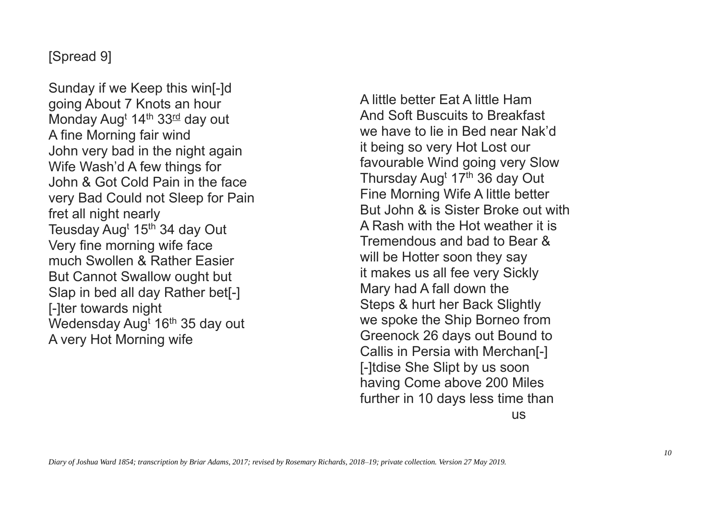# [Spread 9]

Sunday if we Keep this win[-]d going About 7 Knots an hour Monday Aug<sup>t</sup> 14<sup>th</sup> 33<sup>rd</sup> day out A fine Morning fair wind John very bad in the night again Wife Wash'd A few things for John & Got Cold Pain in the face very Bad Could not Sleep for Pain fret all night nearly Teusday Aug<sup>t</sup> 15<sup>th</sup> 34 day Out Very fine morning wife face much Swollen & Rather Easier But Cannot Swallow ought but Slap in bed all day Rather bet[-] [-]ter towards night Wedensday Aug<sup>t</sup> 16<sup>th</sup> 35 day out A very Hot Morning wife

A little better Eat A little Ham And Soft Buscuits to Breakfast we have to lie in Bed near Nak'd it being so very Hot Lost our favourable Wind going very Slow Thursday Aug<sup>t</sup> 17<sup>th</sup> 36 day Out Fine Morning Wife A little better But John & is Sister Broke out with A Rash with the Hot weather it is Tremendous and bad to Bear & will be Hotter soon they say it makes us all fee very Sickly Mary had A fall down the Steps & hurt her Back Slightly we spoke the Ship Borneo from Greenock 26 days out Bound to Callis in Persia with Merchan[-] [-]tdise She Slipt by us soon having Come above 200 Miles further in 10 days less time than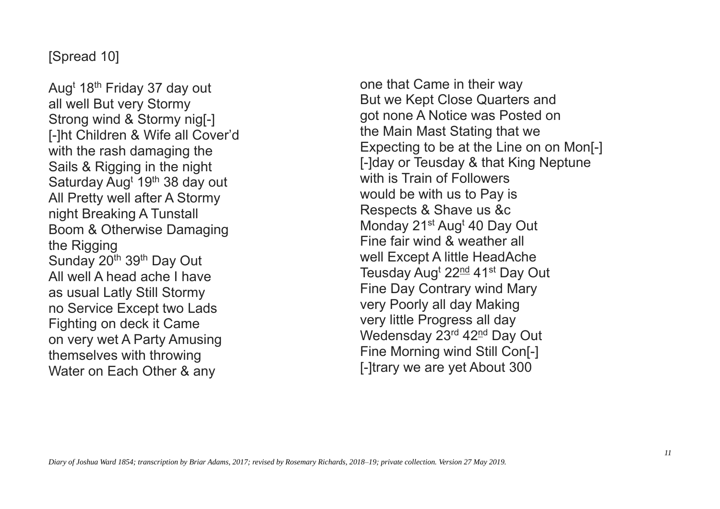# [Spread 10]

Aug<sup>t</sup> 18th Friday 37 day out all well But very Stormy Strong wind & Stormy nig[-] [-]ht Children & Wife all Cover'd with the rash damaging the Sails & Rigging in the night Saturday Aug<sup>t</sup> 19<sup>th</sup> 38 day out All Pretty well after A Stormy night Breaking A Tunstall Boom & Otherwise Damaging the Rigging Sunday 20<sup>th</sup> 39<sup>th</sup> Day Out All well A head ache I have as usual Latly Still Stormy no Service Except two Lads Fighting on deck it Came on very wet A Party Amusing themselves with throwing Water on Each Other & any

one that Came in their way But we Kept Close Quarters and got none A Notice was Posted on the Main Mast Stating that we Expecting to be at the Line on on Mon[-] [-]day or Teusday & that King Neptune with is Train of Followers would be with us to Pay is Respects & Shave us &c Monday 21<sup>st</sup> Aug<sup>t</sup> 40 Day Out Fine fair wind & weather all well Except A little HeadAche Teusday Aug<sup>t</sup> 22<sup>nd</sup> 41<sup>st</sup> Day Out Fine Day Contrary wind Mary very Poorly all day Making very little Progress all day Wedensday 23<sup>rd</sup> 42<sup>nd</sup> Day Out Fine Morning wind Still Con[-] [-]trary we are yet About 300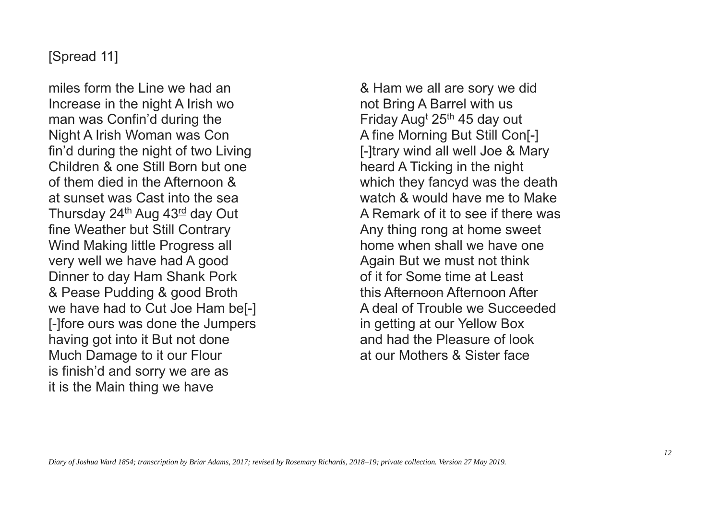## [Spread 11]

miles form the Line we had an Increase in the night A Irish wo man was Confin'd during the Night A Irish Woman was Con fin'd during the night of two Living Children & one Still Born but one of them died in the Afternoon & at sunset was Cast into the sea Thursday 24<sup>th</sup> Aug 43<sup>rd</sup> day Out fine Weather but Still Contrary Wind Making little Progress all very well we have had A good Dinner to day Ham Shank Pork & Pease Pudding & good Broth we have had to Cut Joe Ham be[-] [-]fore ours was done the Jumpers having got into it But not done Much Damage to it our Flour is finish'd and sorry we are as it is the Main thing we have

& Ham we all are sory we did not Bring A Barrel with us Friday Aug<sup>t</sup> 25<sup>th</sup> 45 day out A fine Morning But Still Con[-] [-]trary wind all well Joe & Mary heard A Ticking in the night which they fancyd was the death watch & would have me to Make A Remark of it to see if there was Any thing rong at home sweet home when shall we have one Again But we must not think of it for Some time at Least this Afternoon Afternoon After A deal of Trouble we Succeeded in getting at our Yellow Box and had the Pleasure of look at our Mothers & Sister face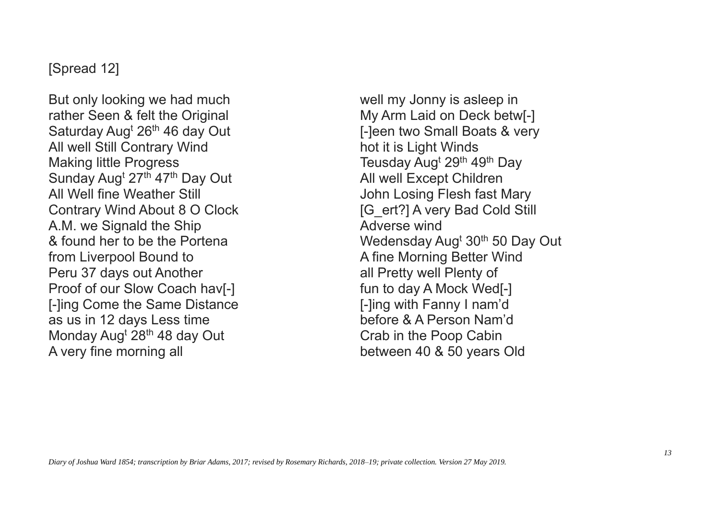#### [Spread 12]

But only looking we had much rather Seen & felt the Original Saturday Aug<sup>t</sup> 26<sup>th</sup> 46 day Out All well Still Contrary Wind Making little Progress Sunday Aug<sup>t</sup> 27<sup>th</sup> 47<sup>th</sup> Day Out All Well fine Weather Still Contrary Wind About 8 O Clock A.M. we Signald the Ship & found her to be the Portena from Liverpool Bound to Peru 37 days out Another Proof of our Slow Coach hav[-] [-]ing Come the Same Distance as us in 12 days Less time Monday Aug<sup>t</sup> 28<sup>th</sup> 48 day Out A very fine morning all

well my Jonny is asleep in My Arm Laid on Deck betw[-] [-]een two Small Boats & very hot it is Light Winds Teusday Aug<sup>t</sup> 29<sup>th</sup> 49<sup>th</sup> Day All well Except Children John Losing Flesh fast Mary [G\_ert?] A very Bad Cold Still Adverse wind Wedensday Aug<sup>t</sup> 30<sup>th</sup> 50 Day Out A fine Morning Better Wind all Pretty well Plenty of fun to day A Mock Wed[-] [-]ing with Fanny I nam'd before & A Person Nam'd Crab in the Poop Cabin between 40 & 50 years Old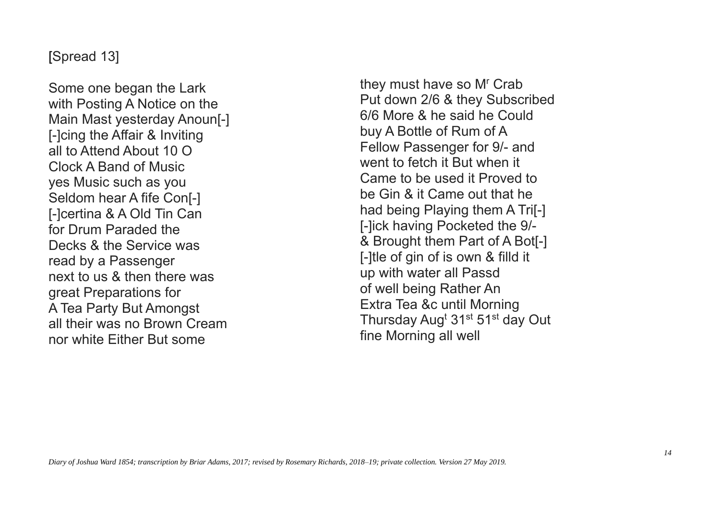#### [Spread 13]

Some one began the Lark with Posting A Notice on the Main Mast yesterday Anoun[-] [-]cing the Affair & Inviting all to Attend About 10 O Clock A Band of Music yes Music such as you Seldom hear A fife Con[-] [-]certina & A Old Tin Can for Drum Paraded the Decks & the Service was read by a Passenger next to us & then there was great Preparations for A Tea Party But Amongst all their was no Brown Cream nor white Either But some

they must have so M<sup>r</sup> Crab Put down 2/6 & they Subscribed 6/6 More & he said he Could buy A Bottle of Rum of A Fellow Passenger for 9/- and went to fetch it But when it Came to be used it Proved to be Gin & it Came out that he had being Playing them A Tri[-] [-]ick having Pocketed the 9/- & Brought them Part of A Bot[-] [-]tle of gin of is own & filld it up with water all Passd of well being Rather An Extra Tea &c until Morning Thursday Aug<sup>t</sup> 31<sup>st</sup> 51<sup>st</sup> day Out fine Morning all well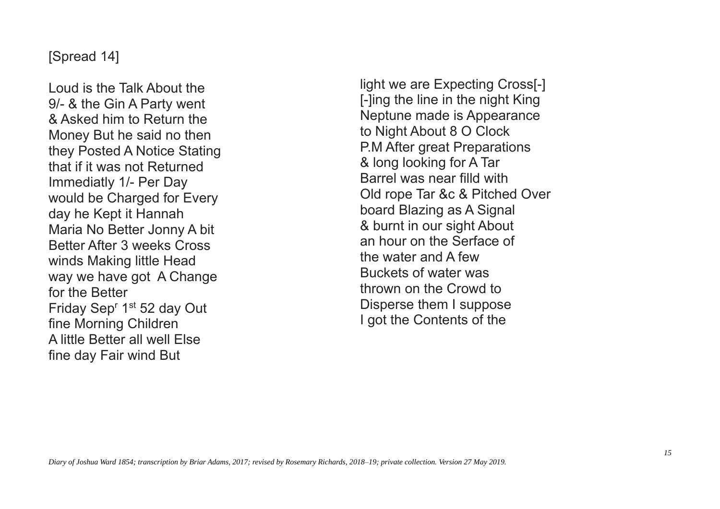#### [Spread 14]

Loud is the Talk About the 9/- & the Gin A Party went & Asked him to Return the Money But he said no then they Posted A Notice Stating that if it was not Returned Immediatly 1/- Per Day would be Charged for Every day he Kept it Hannah Maria No Better Jonny A bit Better After 3 weeks Cross winds Making little Head way we have got A Change for the Better Friday Sep<sup>r</sup> 1<sup>st</sup> 52 day Out fine Morning Children A little Better all well Else fine day Fair wind But

light we are Expecting Cross[-] [-]ing the line in the night King Neptune made is Appearance to Night About 8 O Clock P.M After great Preparations & long looking for A Tar Barrel was near filld with Old rope Tar &c & Pitched Over board Blazing as A Signal & burnt in our sight About an hour on the Serface of the water and A few Buckets of water was thrown on the Crowd to Disperse them I suppose I got the Contents of the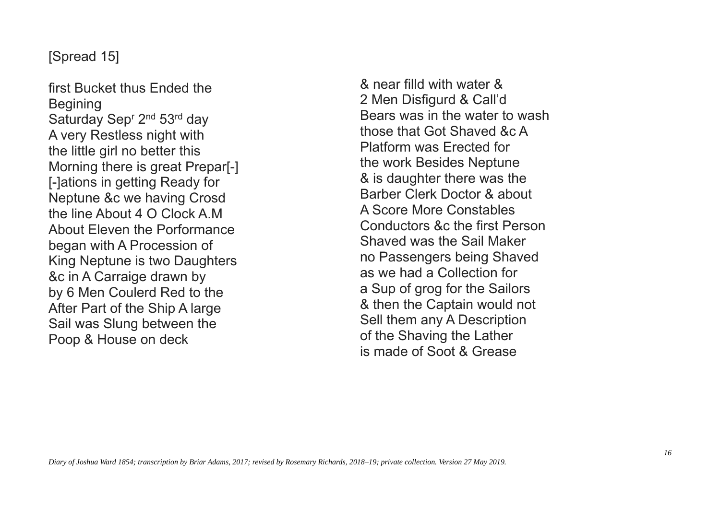# [Spread 15]

first Bucket thus Ended the **Begining** Saturday Sep<sup>r</sup> 2<sup>nd</sup> 53<sup>rd</sup> day A very Restless night with the little girl no better this Morning there is great Prepar[-] [-]ations in getting Ready for Neptune &c we having Crosd the line About 4 O Clock A.M About Eleven the Porformance began with A Procession of King Neptune is two Daughters &c in A Carraige drawn by by 6 Men Coulerd Red to the After Part of the Ship A large Sail was Slung between the Poop & House on deck

& near filld with water & 2 Men Disfigurd & Call'd Bears was in the water to wash those that Got Shaved &c A Platform was Erected for the work Besides Neptune & is daughter there was the Barber Clerk Doctor & about A Score More Constables Conductors &c the first Person Shaved was the Sail Maker no Passengers being Shaved as we had a Collection for a Sup of grog for the Sailors & then the Captain would not Sell them any A Description of the Shaving the Lather is made of Soot & Grease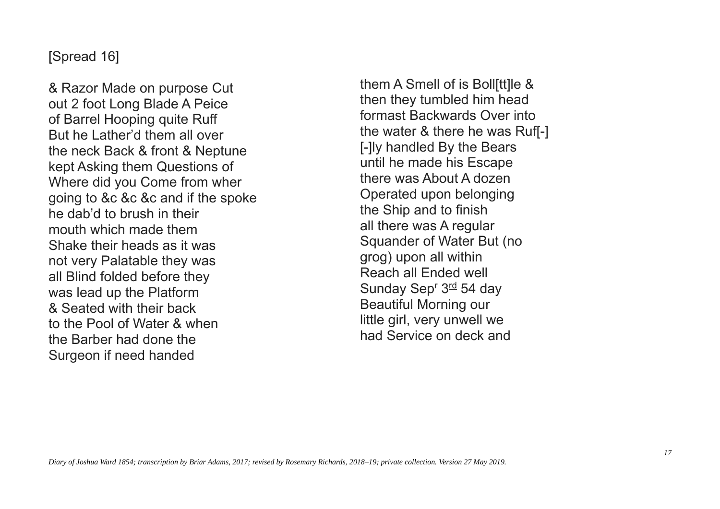#### [Spread 16]

& Razor Made on purpose Cut out 2 foot Long Blade A Peice of Barrel Hooping quite Ruff But he Lather'd them all over the neck Back & front & Neptune kept Asking them Questions of Where did you Come from wher going to &c &c &c and if the spoke he dab'd to brush in their mouth which made them Shake their heads as it was not very Palatable they was all Blind folded before they was lead up the Platform & Seated with their back to the Pool of Water & when the Barber had done the Surgeon if need handed

them A Smell of is Boll[tt]le & then they tumbled him head formast Backwards Over into the water & there he was Ruf[-] [-]ly handled By the Bears until he made his Escape there was About A dozen Operated upon belonging the Ship and to finish all there was A regular Squander of Water But (no grog) upon all within Reach all Ended well Sunday Sep<sup>r</sup> 3<sup>rd</sup> 54 day Beautiful Morning our little girl, very unwell we had Service on deck and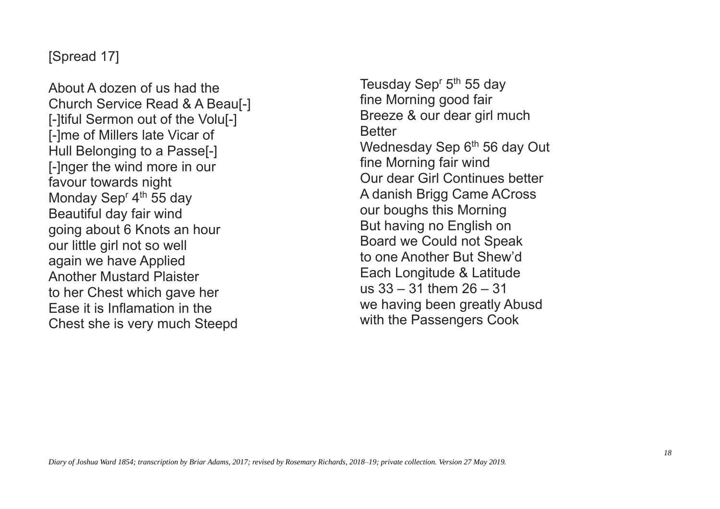# [Spread 17]

About A dozen of us had the Church Service Read & A Beau[-] [-]tiful Sermon out of the Volu[-] [-]me of Millers late Vicar of Hull Belonging to a Passe[-] [-]nger the wind more in our favour towards night Monday Sep<sup>r</sup> 4<sup>th</sup> 55 day Beautiful day fair wind going about 6 Knots an hour our little girl not so well again we have Applied Another Mustard Plaister to her Chest which gave her Ease it is Inflamation in the Chest she is very much Steepd

Teusday Sep<sup>r</sup> 5<sup>th</sup> 55 day fine Morning good fair Breeze & our dear girl much **Better** Wednesday Sep 6<sup>th</sup> 56 day Out fine Morning fair wind Our dear Girl Continues better A danish Brigg Came ACross our boughs this Morning But having no English on Board we Could not Speak to one Another But Shew'd Each Longitude & Latitude us 33 – 31 them 26 – 31 we having been greatly Abusd with the Passengers Cook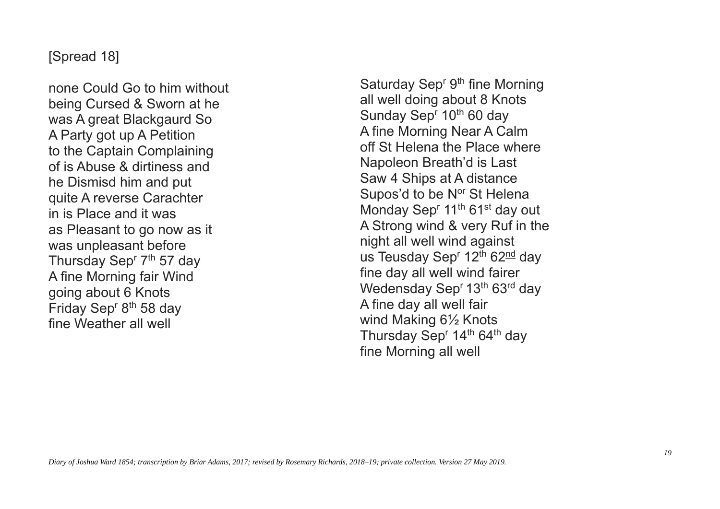#### [Spread 18]

none Could Go to him without being Cursed & Sworn at he was A great Blackgaurd So A Party got up A Petition to the Captain Complaining of is Abuse & dirtiness and he Dismisd him and put quite A reverse Carachter in is Place and it was as Pleasant to go now as it was unpleasant before Thursday Sep<sup>r</sup> 7<sup>th</sup> 57 day A fine Morning fair Wind going about 6 Knots Friday Sep<sup>r 8th</sup> 58 day fine Weather all well

Saturday Sep<sup>r gth</sup> fine Morning all well doing about 8 Knots Sunday Sep<sup>r</sup> 10<sup>th</sup> 60 day A fine Morning Near A Calm off St Helena the Place where Napoleon Breath'd is Last Saw 4 Ships at A distance Supos'd to be N<sup>or</sup> St Helena Monday Sep<sup>r</sup> 11<sup>th</sup> 61<sup>st</sup> day out A Strong wind & very Ruf in the night all well wind against us Teusday Sep<sup>r</sup> 12<sup>th</sup> 62<sup>nd</sup> day fine day all well wind fairer Wedensday Sep<sup>r</sup> 13<sup>th</sup> 63<sup>rd</sup> day A fine day all well fair wind Making 6½ Knots Thursday Sep<sup>r</sup> 14<sup>th</sup> 64<sup>th</sup> day fine Morning all well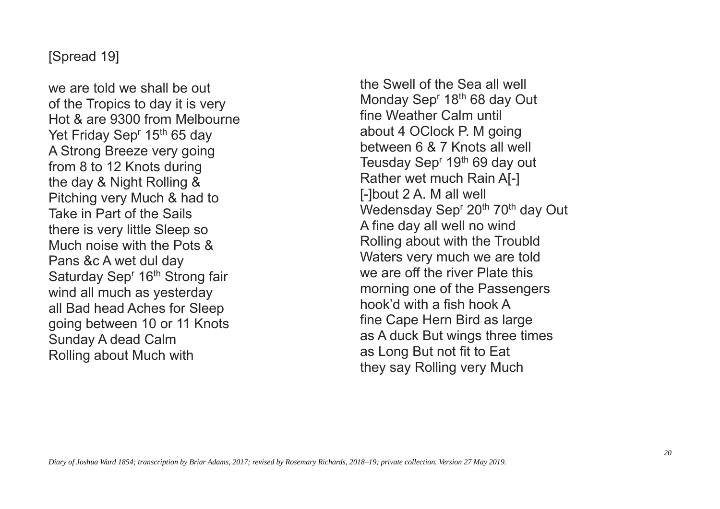## [Spread 19]

we are told we shall be out of the Tropics to day it is very Hot & are 9300 from Melbourne Yet Friday Sep<sup>r</sup> 15<sup>th</sup> 65 day A Strong Breeze very going from 8 to 12 Knots during the day & Night Rolling & Pitching very Much & had to Take in Part of the Sails there is very little Sleep so Much noise with the Pots & Pans &c A wet dul day Saturday Sep<sup>r</sup> 16<sup>th</sup> Strong fair wind all much as yesterday all Bad head Aches for Sleep going between 10 or 11 Knots Sunday A dead Calm Rolling about Much with

the Swell of the Sea all well Monday Sep<sup>r</sup> 18<sup>th</sup> 68 day Out fine Weather Calm until about 4 OClock P. M going between 6 & 7 Knots all well Teusday Sep<sup>r</sup> 19<sup>th</sup> 69 day out Rather wet much Rain A[-] [-]bout 2 A. M all well Wedensday Sep<sup>r</sup> 20<sup>th</sup> 70<sup>th</sup> day Out A fine day all well no wind Rolling about with the Troubld Waters very much we are told we are off the river Plate this morning one of the Passengers hook'd with a fish hook A fine Cape Hern Bird as large as A duck But wings three times as Long But not fit to Eat they say Rolling very Much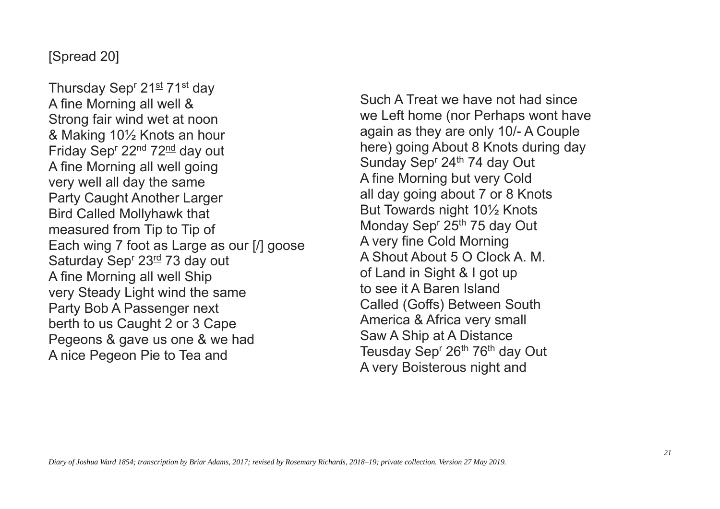## [Spread 20]

Thursday Sep<sup>r</sup> 21st 71st day A fine Morning all well & Strong fair wind wet at noon & Making 10½ Knots an hour Friday Sep<sup>r</sup> 22<sup>nd</sup> 72<sup>nd</sup> day out A fine Morning all well going very well all day the same Party Caught Another Larger Bird Called Mollyhawk that measured from Tip to Tip of Each wing 7 foot as Large as our [/] goose Saturday Sep<sup>r</sup> 23<sup>rd</sup> 73 day out A fine Morning all well Ship very Steady Light wind the same Party Bob A Passenger next berth to us Caught 2 or 3 Cape Pegeons & gave us one & we had A nice Pegeon Pie to Tea and

Such A Treat we have not had since we Left home (nor Perhaps wont have again as they are only 10/- A Couple here) going About 8 Knots during day Sunday Sep<sup>r</sup> 24<sup>th</sup> 74 day Out A fine Morning but very Cold all day going about 7 or 8 Knots But Towards night 10½ Knots Monday Sep<sup>r</sup> 25<sup>th</sup> 75 day Out A very fine Cold Morning A Shout About 5 O Clock A. M. of Land in Sight & I got up to see it A Baren Island Called (Goffs) Between South America & Africa very small Saw A Ship at A Distance Teusday Sep<sup>r</sup> 26<sup>th</sup> 76<sup>th</sup> day Out A very Boisterous night and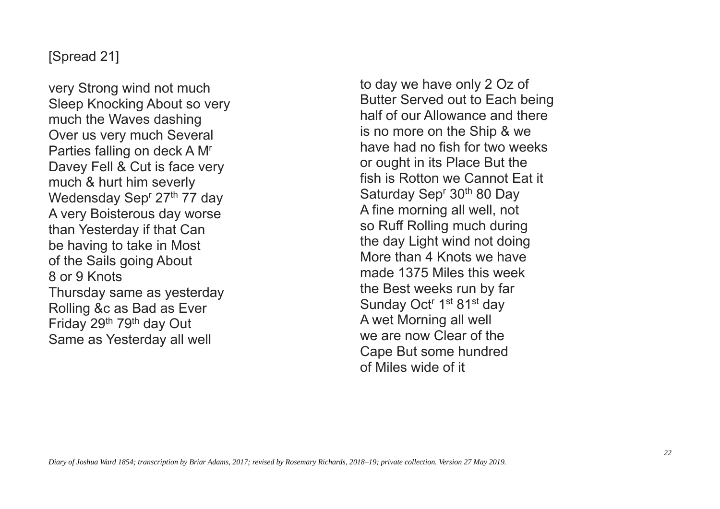## [Spread 21]

very Strong wind not much Sleep Knocking About so very much the Waves dashing Over us very much Several Parties falling on deck A M<sup>r</sup> Davey Fell & Cut is face very much & hurt him severly Wedensday Sep<sup>r</sup> 27<sup>th</sup> 77 day A very Boisterous day worse than Yesterday if that Can be having to take in Most of the Sails going About 8 or 9 Knots Thursday same as yesterday Rolling &c as Bad as Ever Friday 29<sup>th</sup> 79<sup>th</sup> day Out Same as Yesterday all well

to day we have only 2 Oz of Butter Served out to Each being half of our Allowance and there is no more on the Ship & we have had no fish for two weeks or ought in its Place But the fish is Rotton we Cannot Eat it Saturday Sep<sup>r</sup> 30<sup>th</sup> 80 Day A fine morning all well, not so Ruff Rolling much during the day Light wind not doing More than 4 Knots we have made 1375 Miles this week the Best weeks run by far Sunday Oct<sup>r</sup> 1<sup>st</sup> 81<sup>st</sup> day A wet Morning all well we are now Clear of the Cape But some hundred of Miles wide of it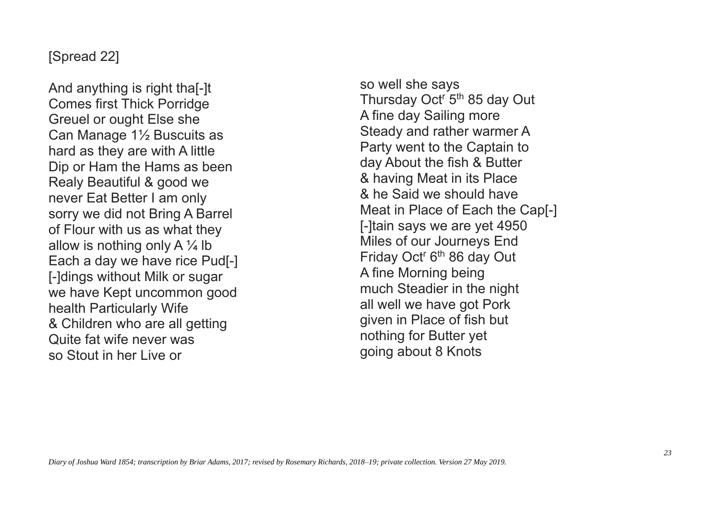## [Spread 22]

And anything is right tha[-]t Comes first Thick Porridge Greuel or ought Else she Can Manage 1½ Buscuits as hard as they are with A little Dip or Ham the Hams as been Realy Beautiful & good we never Eat Better I am only sorry we did not Bring A Barrel of Flour with us as what they allow is nothing only A  $\frac{1}{4}$  lb Each a day we have rice Pud[-] [-]dings without Milk or sugar we have Kept uncommon good health Particularly Wife & Children who are all getting Quite fat wife never was so Stout in her Live or

so well she says Thursday Oct<sup>r</sup> 5<sup>th</sup> 85 day Out A fine day Sailing more Steady and rather warmer A Party went to the Captain to day About the fish & Butter & having Meat in its Place & he Said we should have Meat in Place of Each the Cap[-] [-]tain says we are yet 4950 Miles of our Journeys End Friday Oct<sup>r</sup> 6<sup>th</sup> 86 day Out A fine Morning being much Steadier in the night all well we have got Pork given in Place of fish but nothing for Butter yet going about 8 Knots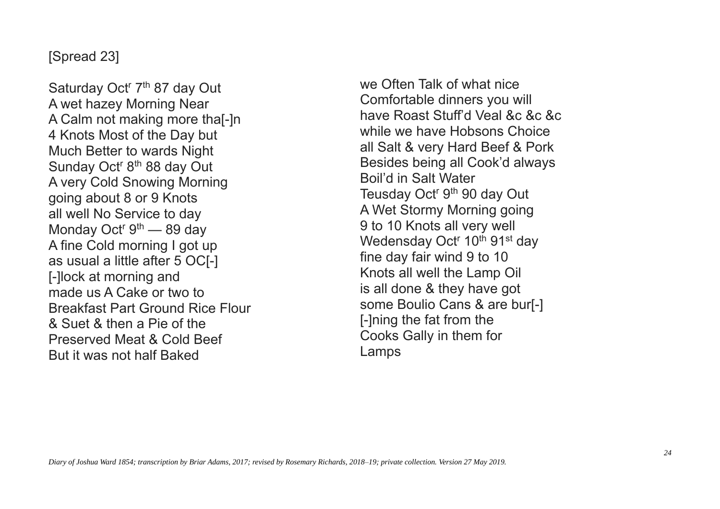# [Spread 23]

Saturday Oct<sup>r</sup> 7<sup>th</sup> 87 day Out A wet hazey Morning Near A Calm not making more tha[-]n 4 Knots Most of the Day but Much Better to wards Night Sunday Oct<sup>r</sup> 8<sup>th</sup> 88 day Out A very Cold Snowing Morning going about 8 or 9 Knots all well No Service to day Monday Oct<sup>r</sup> 9<sup>th</sup> — 89 day A fine Cold morning I got up as usual a little after 5 OC[-] [-]lock at morning and made us A Cake or two to Breakfast Part Ground Rice Flour & Suet & then a Pie of the Preserved Meat & Cold Beef But it was not half Baked

we Often Talk of what nice Comfortable dinners you will have Roast Stuff'd Veal &c &c &c while we have Hobsons Choice all Salt & very Hard Beef & Pork Besides being all Cook'd always Boil'd in Salt Water Teusday Oct<sup>r</sup> 9<sup>th</sup> 90 day Out A Wet Stormy Morning going 9 to 10 Knots all very well Wedensday Oct<sup>r</sup> 10<sup>th</sup> 91<sup>st</sup> day fine day fair wind 9 to 10 Knots all well the Lamp Oil is all done & they have got some Boulio Cans & are bur[-] [-]ning the fat from the Cooks Gally in them for Lamps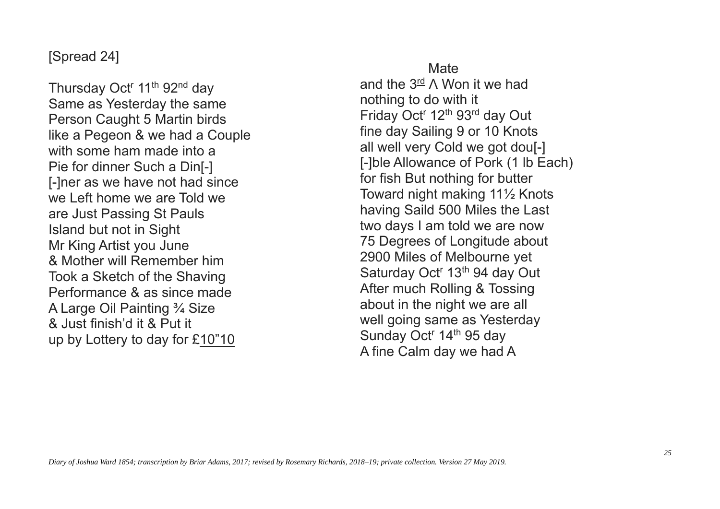## [Spread 24]

Thursday Oct<sup>r</sup> 11<sup>th</sup> 92<sup>nd</sup> day Same as Yesterday the same Person Caught 5 Martin birds like a Pegeon & we had a Couple with some ham made into a Pie for dinner Such a Din[-] [-]ner as we have not had since we Left home we are Told we are Just Passing St Pauls Island but not in Sight Mr King Artist you June & Mother will Remember him Took a Sketch of the Shaving Performance & as since made A Large Oil Painting ¾ Size & Just finish'd it & Put it up by Lottery to day for £10"10

**Mate** and the  $3^{\text{rd}}$   $\wedge$  Won it we had nothing to do with it Friday Oct<sup>r</sup> 12<sup>th</sup> 93<sup>rd</sup> day Out fine day Sailing 9 or 10 Knots all well very Cold we got dou[-] [-]ble Allowance of Pork (1 lb Each) for fish But nothing for butter Toward night making 11½ Knots having Saild 500 Miles the Last two days I am told we are now 75 Degrees of Longitude about 2900 Miles of Melbourne yet Saturday Oct<sup>r</sup> 13<sup>th</sup> 94 day Out After much Rolling & Tossing about in the night we are all well going same as Yesterday Sunday Oct<sup>r</sup> 14<sup>th</sup> 95 day A fine Calm day we had A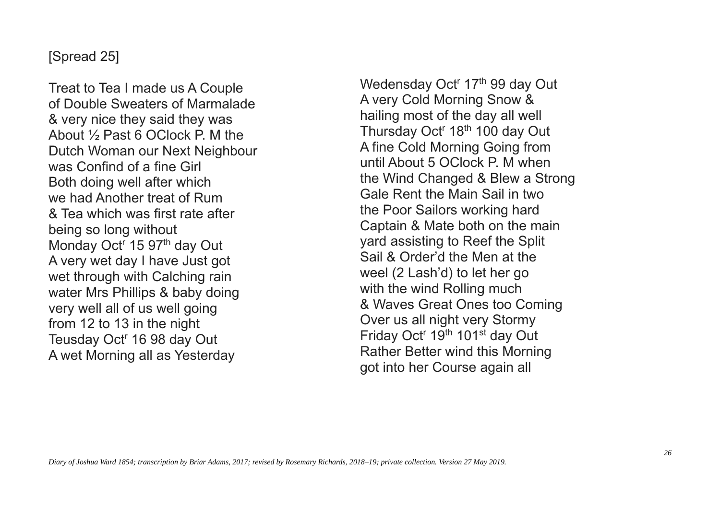### [Spread 25]

Treat to Tea I made us A Couple of Double Sweaters of Marmalade & very nice they said they was About ½ Past 6 OClock P. M the Dutch Woman our Next Neighbour was Confind of a fine Girl Both doing well after which we had Another treat of Rum & Tea which was first rate after being so long without Monday Oct<sup>r</sup> 15 97<sup>th</sup> day Out A very wet day I have Just got wet through with Calching rain water Mrs Phillips & baby doing very well all of us well going from 12 to 13 in the night Teusday Oct<sup>r</sup> 16 98 day Out A wet Morning all as Yesterday

Wedensday Oct<sup>r</sup> 17<sup>th</sup> 99 day Out A very Cold Morning Snow & hailing most of the day all well Thursday Oct<sup>r</sup> 18<sup>th</sup> 100 day Out A fine Cold Morning Going from until About 5 OClock P. M when the Wind Changed & Blew a Strong Gale Rent the Main Sail in two the Poor Sailors working hard Captain & Mate both on the main yard assisting to Reef the Split Sail & Order'd the Men at the weel (2 Lash'd) to let her go with the wind Rolling much & Waves Great Ones too Coming Over us all night very Stormy Friday Oct<sup>r</sup> 19<sup>th</sup> 101<sup>st</sup> day Out Rather Better wind this Morning got into her Course again all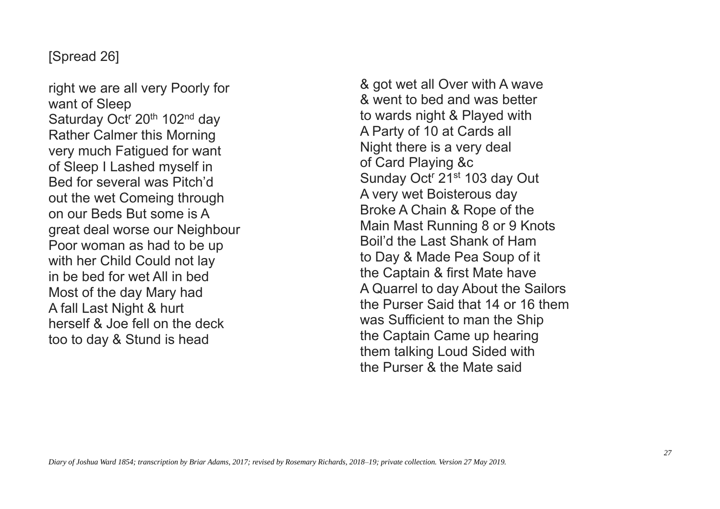## [Spread 26]

right we are all very Poorly for want of Sleep Saturday Oct<sup>r</sup> 20<sup>th</sup> 102<sup>nd</sup> day Rather Calmer this Morning very much Fatigued for want of Sleep I Lashed myself in Bed for several was Pitch'd out the wet Comeing through on our Beds But some is A great deal worse our Neighbour Poor woman as had to be up with her Child Could not lay in be bed for wet All in bed Most of the day Mary had A fall Last Night & hurt herself & Joe fell on the deck too to day & Stund is head

& got wet all Over with A wave & went to bed and was better to wards night & Played with A Party of 10 at Cards all Night there is a very deal of Card Playing &c Sunday Oct<sup>r</sup> 21<sup>st</sup> 103 day Out A very wet Boisterous day Broke A Chain & Rope of the Main Mast Running 8 or 9 Knots Boil'd the Last Shank of Ham to Day & Made Pea Soup of it the Captain & first Mate have A Quarrel to day About the Sailors the Purser Said that 14 or 16 them was Sufficient to man the Ship the Captain Came up hearing them talking Loud Sided with the Purser & the Mate said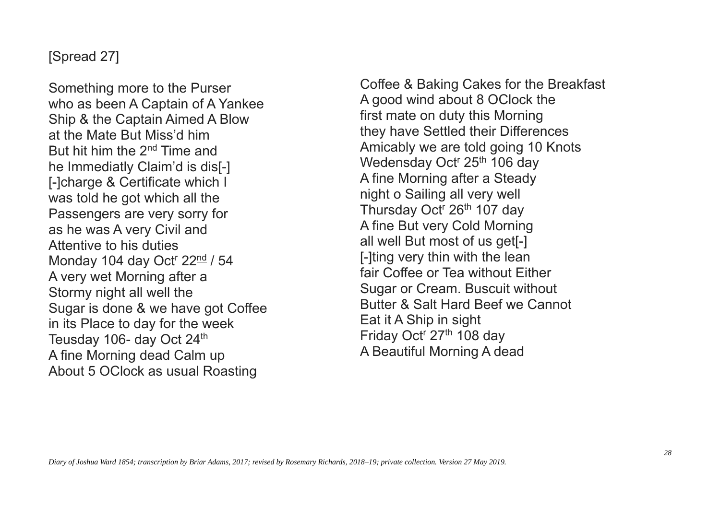## [Spread 27]

Something more to the Purser who as been A Captain of A Yankee Ship & the Captain Aimed A Blow at the Mate But Miss'd him But hit him the 2nd Time and he Immediatly Claim'd is dis[-] [-]charge & Certificate which I was told he got which all the Passengers are very sorry for as he was A very Civil and Attentive to his duties Monday 104 day Oct<sup>r</sup> 22<sup>nd</sup> / 54 A very wet Morning after a Stormy night all well the Sugar is done & we have got Coffee in its Place to day for the week Teusday 106- day Oct 24<sup>th</sup> A fine Morning dead Calm up About 5 OClock as usual Roasting

Coffee & Baking Cakes for the Breakfast A good wind about 8 OClock the first mate on duty this Morning they have Settled their Differences Amicably we are told going 10 Knots Wedensday Oct<sup>r</sup> 25<sup>th</sup> 106 day A fine Morning after a Steady night o Sailing all very well Thursday Oct<sup>r</sup> 26<sup>th</sup> 107 day A fine But very Cold Morning all well But most of us get[-] [-]ting very thin with the lean fair Coffee or Tea without Either Sugar or Cream. Buscuit without Butter & Salt Hard Beef we Cannot Eat it A Ship in sight Friday Oct<sup>r</sup> 27<sup>th</sup> 108 day A Beautiful Morning A dead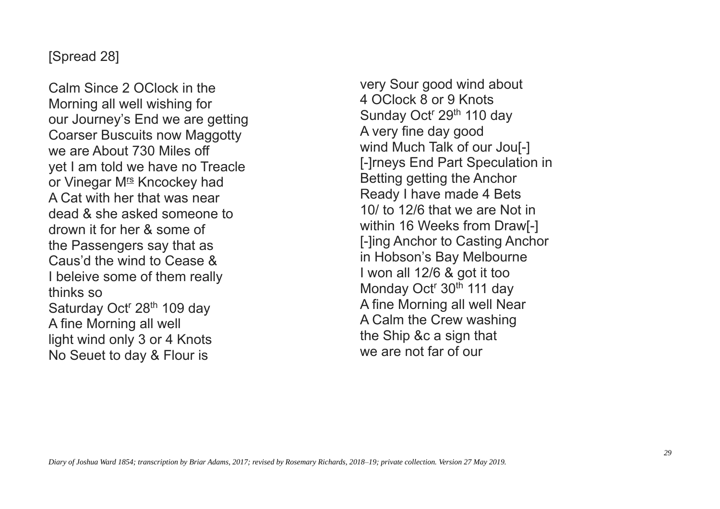#### [Spread 28]

Calm Since 2 OClock in the Morning all well wishing for our Journey's End we are getting Coarser Buscuits now Maggotty we are About 730 Miles off yet I am told we have no Treacle or Vinegar M<sup>rs</sup> Kncockey had A Cat with her that was near dead & she asked someone to drown it for her & some of the Passengers say that as Caus'd the wind to Cease & I beleive some of them really thinks so Saturday Oct<sup>r</sup> 28<sup>th</sup> 109 day A fine Morning all well light wind only 3 or 4 Knots No Seuet to day & Flour is

very Sour good wind about 4 OClock 8 or 9 Knots Sunday Oct<sup>r</sup> 29<sup>th</sup> 110 day A very fine day good wind Much Talk of our Jou[-] [-]rneys End Part Speculation in Betting getting the Anchor Ready I have made 4 Bets 10/ to 12/6 that we are Not in within 16 Weeks from Draw<sub>[-]</sub> [-]ing Anchor to Casting Anchor in Hobson's Bay Melbourne I won all 12/6 & got it too Monday Oct<sup>r</sup> 30<sup>th</sup> 111 day A fine Morning all well Near A Calm the Crew washing the Ship &c a sign that we are not far of our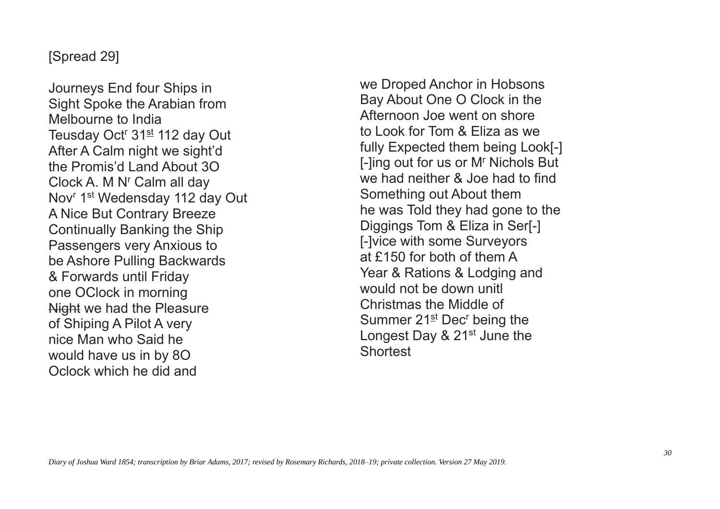## [Spread 29]

Journeys End four Ships in Sight Spoke the Arabian from Melbourne to India Teusday Oct<sup>r</sup> 31<sup>st</sup> 112 day Out After A Calm night we sight'd the Promis'd Land About 3O Clock A. M N' Calm all day Nov<sup>r</sup> 1<sup>st</sup> Wedensday 112 day Out A Nice But Contrary Breeze Continually Banking the Ship Passengers very Anxious to be Ashore Pulling Backwards & Forwards until Friday one OClock in morning Night we had the Pleasure of Shiping A Pilot A very nice Man who Said he would have us in by 8O Oclock which he did and

we Droped Anchor in Hobsons Bay About One O Clock in the Afternoon Joe went on shore to Look for Tom & Eliza as we fully Expected them being Look[-] [-]ing out for us or M<sup>r</sup> Nichols But we had neither & Joe had to find Something out About them he was Told they had gone to the Diggings Tom & Eliza in Ser[-] [-]vice with some Surveyors at £150 for both of them A Year & Rations & Lodging and would not be down unitl Christmas the Middle of Summer  $21<sup>st</sup>$  Dec<sup>r</sup> being the Longest Day & 21<sup>st</sup> June the **Shortest**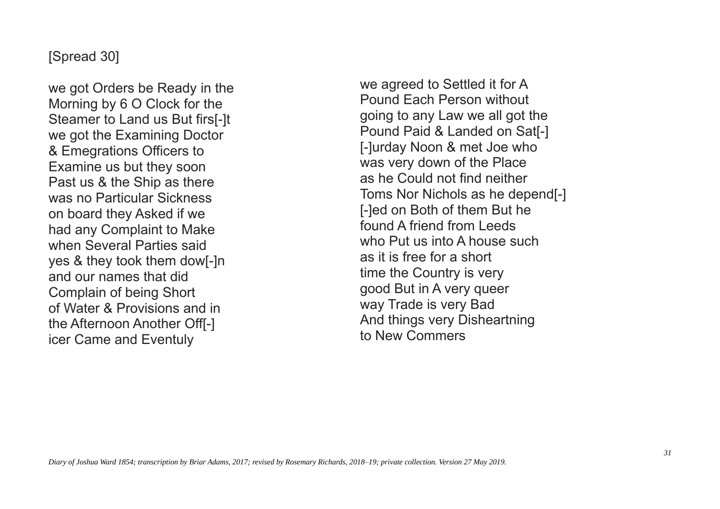## [Spread 30]

we got Orders be Ready in the Morning by 6 O Clock for the Steamer to Land us But firs[-]t we got the Examining Doctor & Emegrations Officers to Examine us but they soon Past us & the Ship as there was no Particular Sickness on board they Asked if we had any Complaint to Make when Several Parties said yes & they took them dow[-]n and our names that did Complain of being Short of Water & Provisions and in the Afternoon Another Off[-] icer Came and Eventuly

we agreed to Settled it for A Pound Each Person without going to any Law we all got the Pound Paid & Landed on Sat[-] [-]urday Noon & met Joe who was very down of the Place as he Could not find neither Toms Nor Nichols as he depend[-] [-]ed on Both of them But he found A friend from Leeds who Put us into A house such as it is free for a short time the Country is very good But in A very queer way Trade is very Bad And things very Disheartning to New Commers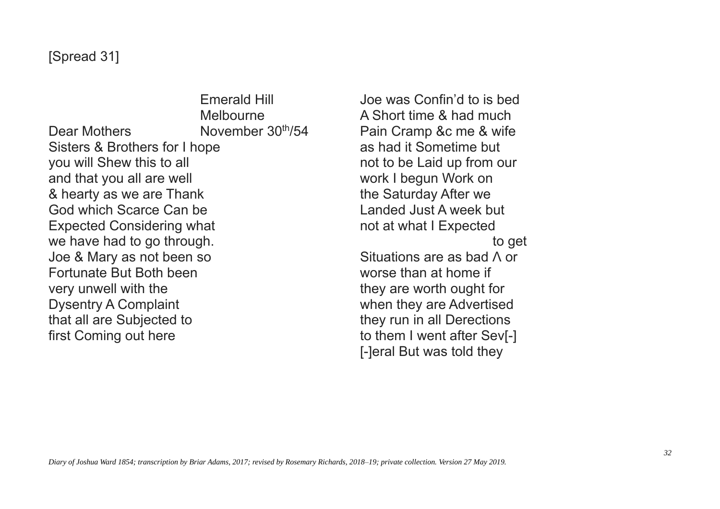Emerald Hill Melbourne Dear Mothers November 30<sup>th</sup>/54 Sisters & Brothers for I hope you will Shew this to all and that you all are well & hearty as we are Thank God which Scarce Can be Expected Considering what we have had to go through. Joe & Mary as not been so Fortunate But Both been very unwell with the Dysentry A Complaint that all are Subjected to first Coming out here

Joe was Confin'd to is bed A Short time & had much Pain Cramp &c me & wife as had it Sometime but not to be Laid up from our work I begun Work on the Saturday After we Landed Just A week but not at what I Expected to get Situations are as bad  $\Lambda$  or worse than at home if they are worth ought for when they are Advertised they run in all Derections to them I went after Sev[-] [-]eral But was told they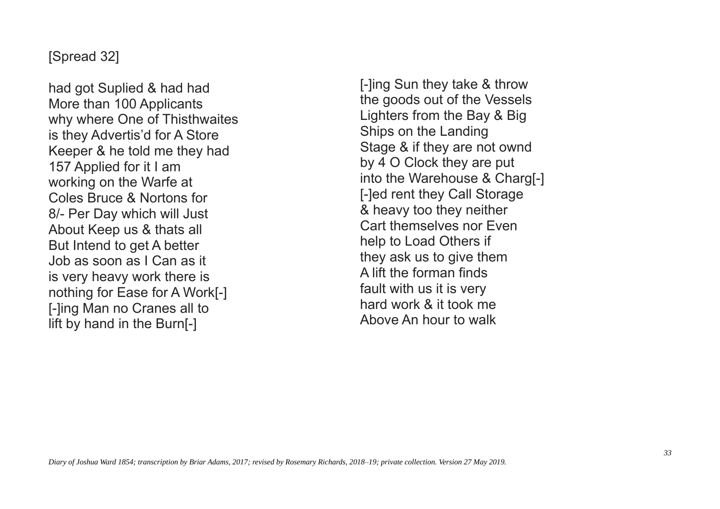#### [Spread 32]

had got Suplied & had had More than 100 Applicants why where One of Thisthwaites is they Advertis'd for A Store Keeper & he told me they had 157 Applied for it I am working on the Warfe at Coles Bruce & Nortons for 8/- Per Day which will Just About Keep us & thats all But Intend to get A better Job as soon as I Can as it is very heavy work there is nothing for Ease for A Work[-] [-]ing Man no Cranes all to lift by hand in the Burn[-]

[-]ing Sun they take & throw the goods out of the Vessels Lighters from the Bay & Big Ships on the Landing Stage & if they are not ownd by 4 O Clock they are put into the Warehouse & Charg[-] [-]ed rent they Call Storage & heavy too they neither Cart themselves nor Even help to Load Others if they ask us to give them A lift the forman finds fault with us it is very hard work & it took me Above An hour to walk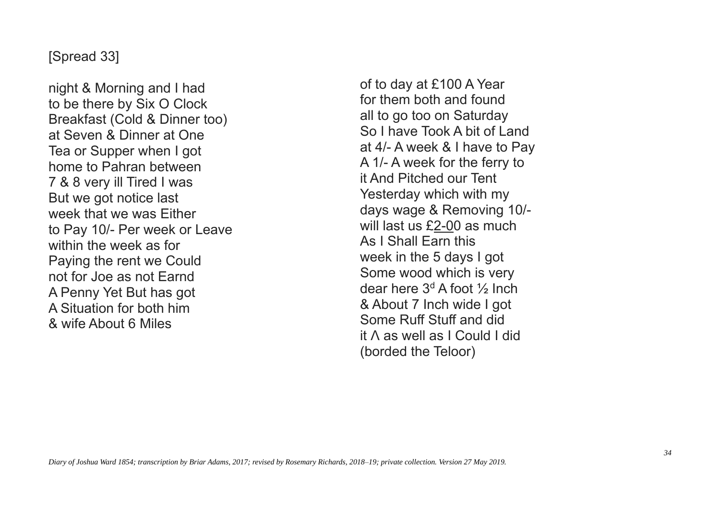#### [Spread 33]

night & Morning and I had to be there by Six O Clock Breakfast (Cold & Dinner too) at Seven & Dinner at One Tea or Supper when I got home to Pahran between 7 & 8 very ill Tired I was But we got notice last week that we was Either to Pay 10/- Per week or Leave within the week as for Paying the rent we Could not for Joe as not Earnd A Penny Yet But has got A Situation for both him & wife About 6 Miles

of to day at £100 A Year for them both and found all to go too on Saturday So I have Took A bit of Land at 4/- A week & I have to Pay A 1/- A week for the ferry to it And Pitched our Tent Yesterday which with my days wage & Removing 10/ will last us £2-00 as much As I Shall Earn this week in the 5 days I got Some wood which is very dear here  $3<sup>d</sup>$  A foot  $\frac{1}{2}$  Inch & About 7 Inch wide I got Some Ruff Stuff and did it  $\Lambda$  as well as I Could I did (borded the Teloor)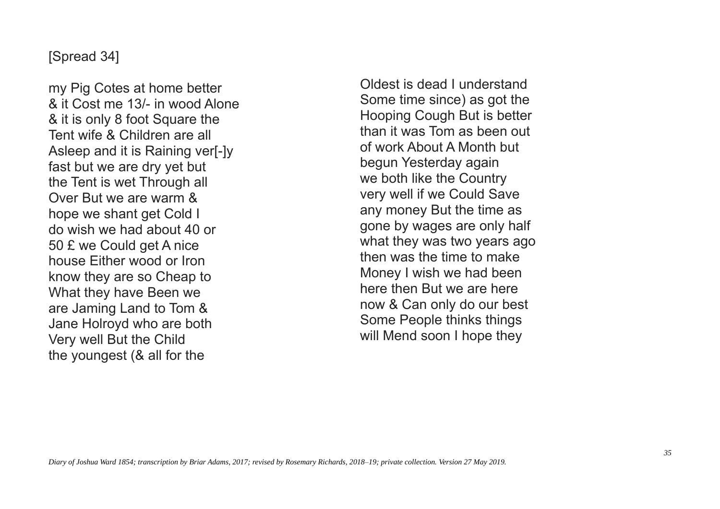#### [Spread 34]

my Pig Cotes at home better & it Cost me 13/- in wood Alone & it is only 8 foot Square the Tent wife & Children are all Asleep and it is Raining ver[-]y fast but we are dry yet but the Tent is wet Through all Over But we are warm & hope we shant get Cold I do wish we had about 40 or 50 £ we Could get A nice house Either wood or Iron know they are so Cheap to What they have Been we are Jaming Land to Tom & Jane Holroyd who are both Very well But the Child the youngest (& all for the

Oldest is dead I understand Some time since) as got the Hooping Cough But is better than it was Tom as been out of work About A Month but begun Yesterday again we both like the Country very well if we Could Save any money But the time as gone by wages are only half what they was two years ago then was the time to make Money I wish we had been here then But we are here now & Can only do our best Some People thinks things will Mend soon I hope they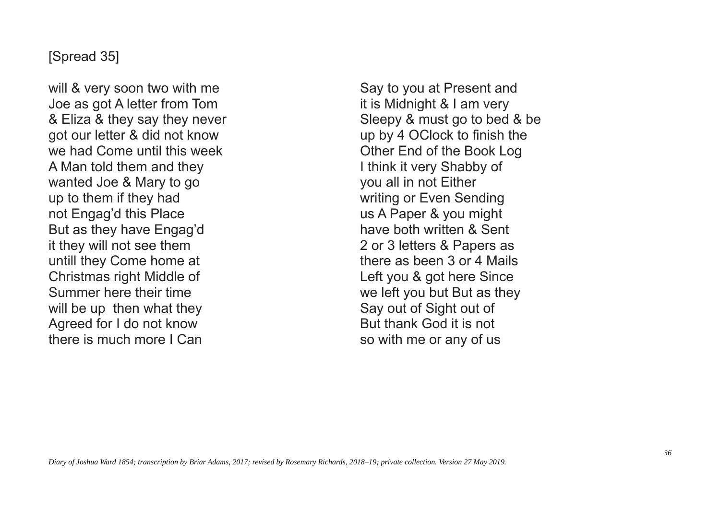#### [Spread 35]

will & very soon two with me Joe as got A letter from Tom & Eliza & they say they never got our letter & did not know we had Come until this week A Man told them and they wanted Joe & Mary to go up to them if they had not Engag'd this Place But as they have Engag'd it they will not see them untill they Come home at Christmas right Middle of Summer here their time will be up then what they Agreed for I do not know there is much more I Can

Say to you at Present and it is Midnight & I am very Sleepy & must go to bed & be up by 4 OClock to finish the Other End of the Book Log I think it very Shabby of you all in not Either writing or Even Sending us A Paper & you might have both written & Sent 2 or 3 letters & Papers as there as been 3 or 4 Mails Left you & got here Since we left you but But as they Say out of Sight out of But thank God it is not so with me or any of us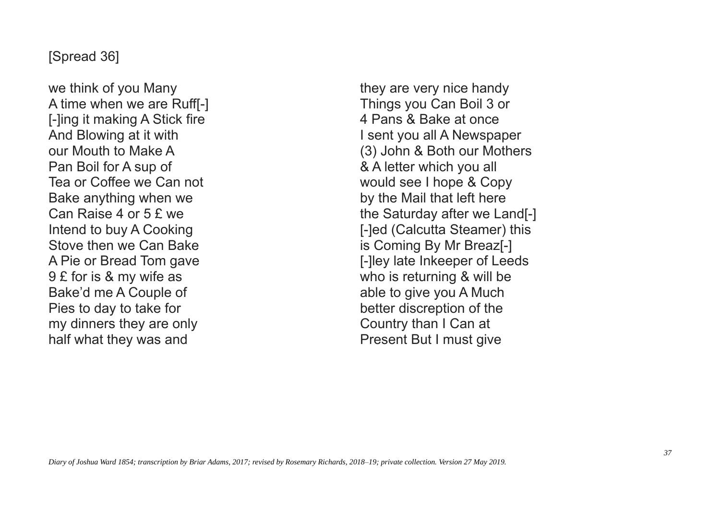#### [Spread 36]

we think of you Many A time when we are Ruff[-] [-]ing it making A Stick fire And Blowing at it with our Mouth to Make A Pan Boil for A sup of Tea or Coffee we Can not Bake anything when we Can Raise 4 or 5 £ we Intend to buy A Cooking Stove then we Can Bake A Pie or Bread Tom gave 9 £ for is & my wife as Bake'd me A Couple of Pies to day to take for my dinners they are only half what they was and

they are very nice handy Things you Can Boil 3 or 4 Pans & Bake at once I sent you all A Newspaper (3) John & Both our Mothers & A letter which you all would see I hope & Copy by the Mail that left here the Saturday after we Land[-] [-]ed (Calcutta Steamer) this is Coming By Mr Breaz[-] [-]ley late Inkeeper of Leeds who is returning & will be able to give you A Much better discreption of the Country than I Can at Present But I must give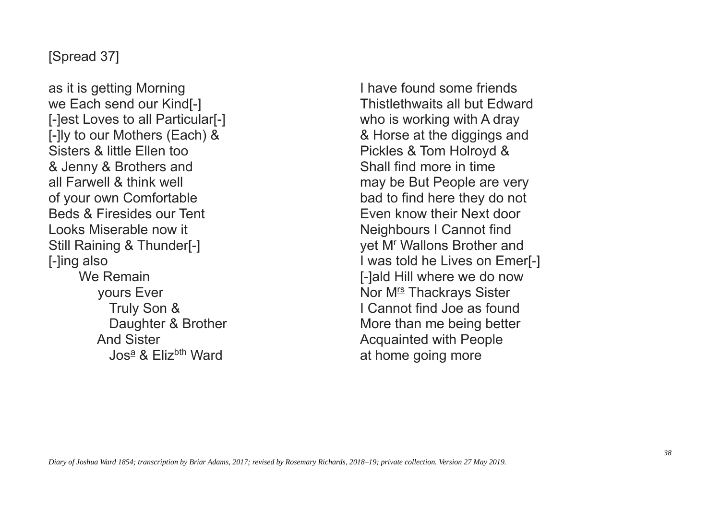## [Spread 37]

as it is getting Morning we Each send our Kind[-] [-]est Loves to all Particular[-] [-]ly to our Mothers (Each) & Sisters & little Ellen too & Jenny & Brothers and all Farwell & think well of your own Comfortable Beds & Firesides our Tent Looks Miserable now it Still Raining & Thunder[-] [-]ing also We Remain yours Ever Truly Son & Daughter & Brother And Sister  $J$ os<sup>a</sup> & Fliz<sup>bth</sup> Ward

I have found some friends Thistlethwaits all but Edward who is working with A dray & Horse at the diggings and Pickles & Tom Holroyd & Shall find more in time may be But People are very bad to find here they do not Even know their Next door Neighbours I Cannot find yet M<sup>r</sup> Wallons Brother and I was told he Lives on Emer[-] [-]ald Hill where we do now Nor M<sup>rs</sup> Thackrays Sister I Cannot find Joe as found More than me being better Acquainted with People at home going more